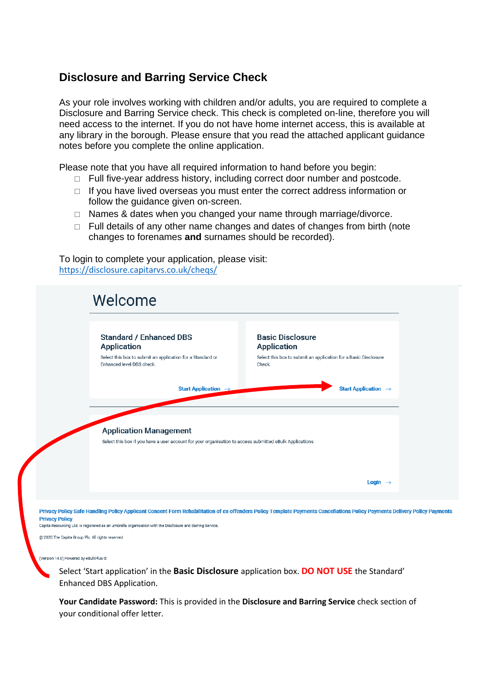## **Disclosure and Barring Service Check**

As your role involves working with children and/or adults, you are required to complete a Disclosure and Barring Service check. This check is completed on-line, therefore you will need access to the internet. If you do not have home internet access, this is available at any library in the borough. Please ensure that you read the attached applicant guidance notes before you complete the online application.

Please note that you have all required information to hand before you begin:

- $\Box$  Full five-year address history, including correct door number and postcode.
- $\Box$  If you have lived overseas you must enter the correct address information or follow the guidance given on-screen.
- $\Box$  Names & dates when you changed your name through marriage/divorce.
- $\Box$  Full details of any other name changes and dates of changes from birth (note changes to forenames **and** surnames should be recorded).

To login to complete your application, please visit: <https://disclosure.capitarvs.co.uk/cheqs/>



Privacy Policy Safe Handling Policy Applicant Consent Form Rehabilitation of ex-offenders Policy Template Payments Cancellations Policy Payments Delivery Policy Payments **Privacy Policy** Capita Resourcing Ltd. is registered as an umbrella organisation with the Disclosure and Barring Service

@ 2020 The Capita Group Plc. All rights reserved

(Version 14.0) Powered by eBulkPlus @

Select 'Start application' in the **Basic Disclosure** application box. **DO NOT USE** the Standard' Enhanced DBS Application.

**Your Candidate Password:** This is provided in the **Disclosure and Barring Service** check section of your conditional offer letter.